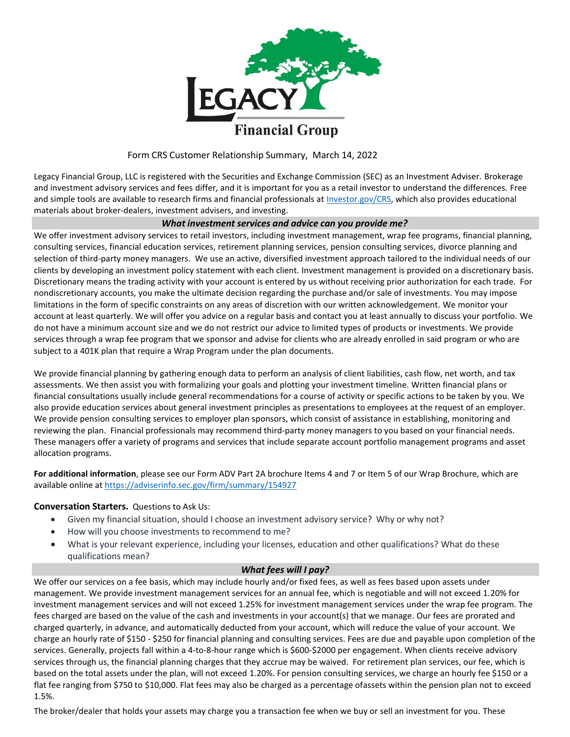

## Form CRS Customer Relationship Summary, March 14, 2022

Legacy Financial Group, LLC is registered with the Securities and Exchange Commission (SEC) as an Investment Adviser. Brokerage and investment advisory services and fees differ, and it is important for you as a retail investor to understand the differences. Free and simple tools are available to research firms and financial professionals at Investor.gov/CRS, which also provides educational materials about broker-dealers, investment advisers, and investing.

### *What investment services and advice can you provide me?*

We offer investment advisory services to retail investors, including investment management, wrap fee programs, financial planning, consulting services, financial education services, retirement planning services, pension consulting services, divorce planning and selection of third-party money managers. We use an active, diversified investment approach tailored to the individual needs of our clients by developing an investment policy statement with each client. Investment management is provided on a discretionary basis. Discretionary means the trading activity with your account is entered by us without receiving prior authorization for each trade. For nondiscretionary accounts, you make the ultimate decision regarding the purchase and/or sale of investments. You may impose limitations in the form of specific constraints on any areas of discretion with our written acknowledgement. We monitor your account at least quarterly. We will offer you advice on a regular basis and contact you at least annually to discuss your portfolio. We do not have a minimum account size and we do not restrict our advice to limited types of products or investments. We provide services through a wrap fee program that we sponsor and advise for clients who are already enrolled in said program or who are subject to a 401K plan that require a Wrap Program under the plan documents.

We provide financial planning by gathering enough data to perform an analysis of client liabilities, cash flow, net worth, and tax assessments. We then assist you with formalizing your goals and plotting your investment timeline. Written financial plans or financial consultations usually include general recommendations for a course of activity or specific actions to be taken by you. We also provide education services about general investment principles as presentations to employees at the request of an employer. We provide pension consulting services to employer plan sponsors, which consist of assistance in establishing, monitoring and reviewing the plan. Financial professionals may recommend third-party money managers to you based on your financial needs. These managers offer a variety of programs and services that include separate account portfolio management programs and asset allocation programs.

**For additional information**, please see our Form ADV Part 2A brochure Items 4 and 7 or Item 5 of our Wrap Brochure, which are available online at https://adviserinfo.sec.gov/firm/summary/154927

### **Conversation Starters.** Questions to Ask Us:

- Given my financial situation, should I choose an investment advisory service? Why or why not?
- How will you choose investments to recommend to me?
- What is your relevant experience, including your licenses, education and other qualifications? What do these qualifications mean?

### *What fees will I pay?*

We offer our services on a fee basis, which may include hourly and/or fixed fees, as well as fees based upon assets under management. We provide investment management services for an annual fee, which is negotiable and will not exceed 1.20% for investment management services and will not exceed 1.25% for investment management services under the wrap fee program. The fees charged are based on the value of the cash and investments in your account(s) that we manage. Our fees are prorated and charged quarterly, in advance, and automatically deducted from your account, which will reduce the value of your account. We charge an hourly rate of \$150 - \$250 for financial planning and consulting services. Fees are due and payable upon completion of the services. Generally, projects fall within a 4-to-8-hour range which is \$600-\$2000 per engagement. When clients receive advisory services through us, the financial planning charges that they accrue may be waived. For retirement plan services, our fee, which is based on the total assets under the plan, will not exceed 1.20%. For pension consulting services, we charge an hourly fee \$150 or a flat fee ranging from \$750 to \$10,000. Flat fees may also be charged as a percentage ofassets within the pension plan not to exceed 1.5%.

The broker/dealer that holds your assets may charge you a transaction fee when we buy or sell an investment for you. These